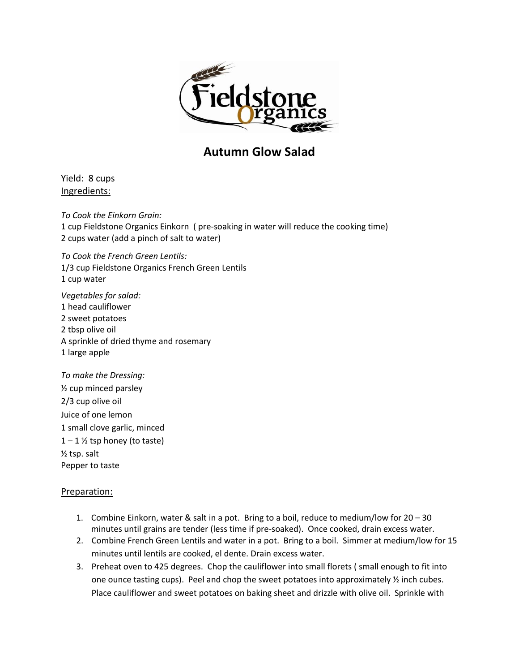

## **Autumn Glow Salad**

Yield: 8 cups Ingredients:

*To Cook the Einkorn Grain:* 1 cup Fieldstone Organics Einkorn ( pre-soaking in water will reduce the cooking time) 2 cups water (add a pinch of salt to water)

*To Cook the French Green Lentils:*  1/3 cup Fieldstone Organics French Green Lentils 1 cup water

*Vegetables for salad:* 1 head cauliflower 2 sweet potatoes 2 tbsp olive oil A sprinkle of dried thyme and rosemary 1 large apple

*To make the Dressing:* ½ cup minced parsley 2/3 cup olive oil Juice of one lemon 1 small clove garlic, minced  $1 - 1$  % tsp honey (to taste) ½ tsp. salt Pepper to taste

## Preparation:

- 1. Combine Einkorn, water & salt in a pot. Bring to a boil, reduce to medium/low for 20 30 minutes until grains are tender (less time if pre-soaked). Once cooked, drain excess water.
- 2. Combine French Green Lentils and water in a pot. Bring to a boil. Simmer at medium/low for 15 minutes until lentils are cooked, el dente. Drain excess water.
- 3. Preheat oven to 425 degrees. Chop the cauliflower into small florets ( small enough to fit into one ounce tasting cups). Peel and chop the sweet potatoes into approximately  $\frac{1}{2}$  inch cubes. Place cauliflower and sweet potatoes on baking sheet and drizzle with olive oil. Sprinkle with